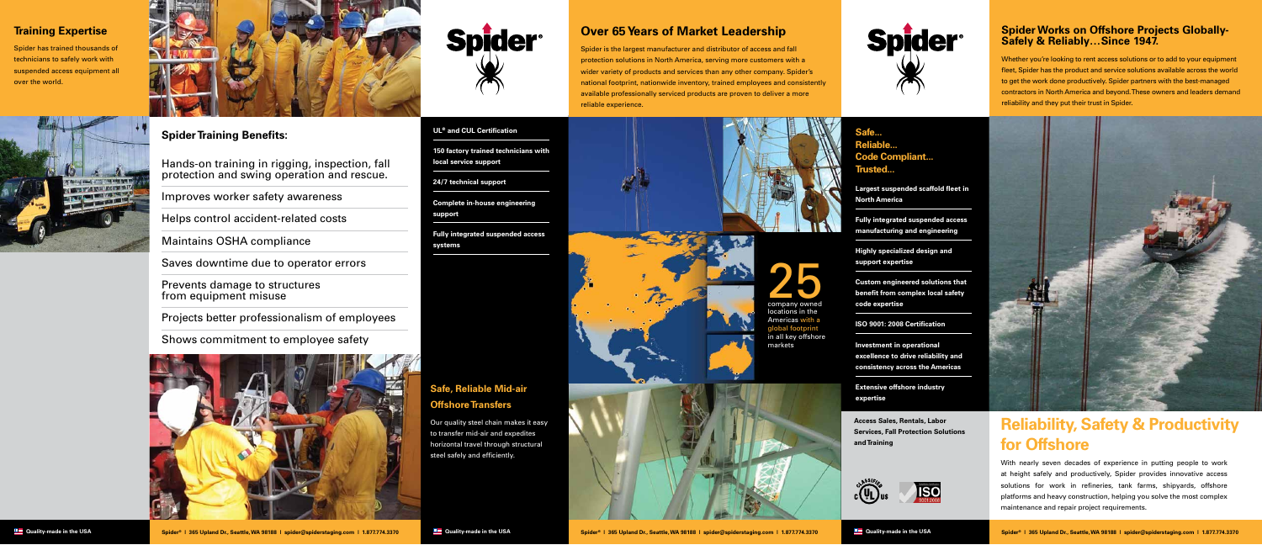**Access Sales, Rentals, Labor Services, Fall Protection Solutions and Training** 



at height safely and productively, Spider provides innovative access solutions for work in refineries, tank farms, shipyards, offshore platforms and heavy construction, helping you solve the most complex maintenance and repair project requirements.

**Largest suspended scaffold fleet in North America**

**Fully integrated suspended access manufacturing and engineering**

**Highly specialized design and support expertise**

**Custom engineered solutions that benefit from complex local safety code expertise**

**ISO 9001: 2008 Certification**

**Investment in operational excellence to drive reliability and consistency across the Americas**

**Extensive offshore industry expertise**

#### **UL® and CUL Certification**

**150 factory trained technicians with local service support**

**24/7 technical support**

**Complete in-house engineering support**

**Fully integrated suspended access systems**

# **Over 65 Years of Market Leadership**



Spider is the largest manufacturer and distributor of access and fall protection solutions in North America, serving more customers with a wider variety of products and services than any other company. Spider's national footprint, nationwide inventory, trained employees and consistently available professionally serviced products are proven to deliver a more



**25**<br>company owned company owned locations in the Americas with a lobal footprint in all key offshore markets

reliable experience.

## **Training Expertise**

Spider has trained thousands of technicians to safely work with suspended access equipment all over the world.





### **Spider Works on Offshore Projects Globally-Safely & Reliably…Since 1947.**

### **Safe... Reliable... Code Compliant... Trusted...**

## **Spider Training Benefits:**

Hands-on training in rigging, inspection, fall protection and swing operation and rescue.

Improves worker safety awareness

Helps control accident-related costs

Maintains OSHA compliance

Saves downtime due to operator errors

Prevents damage to structures from equipment misuse

Projects better professionalism of employees

## Shows commitment to employee safety





## **Safe, Reliable Mid-air Offshore Transfers**

Our quality steel chain makes it easy to transfer mid-air and expedites horizontal travel through structural steel safely and efficiently.